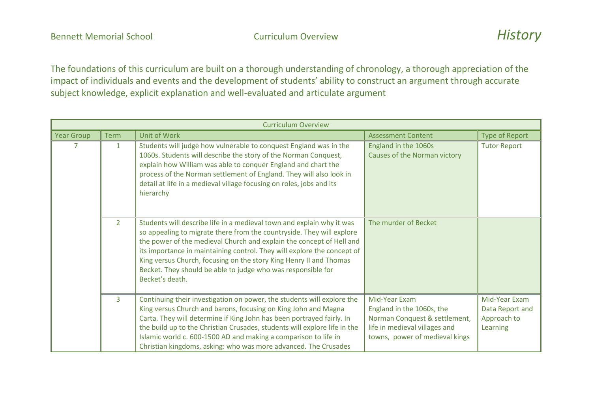| <b>Curriculum Overview</b> |                |                                                                                                                                                                                                                                                                                                                                                                                                                                                            |                                                                                                                                                |                                                             |
|----------------------------|----------------|------------------------------------------------------------------------------------------------------------------------------------------------------------------------------------------------------------------------------------------------------------------------------------------------------------------------------------------------------------------------------------------------------------------------------------------------------------|------------------------------------------------------------------------------------------------------------------------------------------------|-------------------------------------------------------------|
| <b>Year Group</b>          | <b>Term</b>    | <b>Unit of Work</b>                                                                                                                                                                                                                                                                                                                                                                                                                                        | <b>Assessment Content</b>                                                                                                                      | <b>Type of Report</b>                                       |
| 7                          | $\mathbf{1}$   | Students will judge how vulnerable to conquest England was in the<br>1060s. Students will describe the story of the Norman Conquest,<br>explain how William was able to conquer England and chart the<br>process of the Norman settlement of England. They will also look in<br>detail at life in a medieval village focusing on roles, jobs and its<br>hierarchy                                                                                          | England in the 1060s<br>Causes of the Norman victory                                                                                           | <b>Tutor Report</b>                                         |
|                            | $\overline{2}$ | Students will describe life in a medieval town and explain why it was<br>so appealing to migrate there from the countryside. They will explore<br>the power of the medieval Church and explain the concept of Hell and<br>its importance in maintaining control. They will explore the concept of<br>King versus Church, focusing on the story King Henry II and Thomas<br>Becket. They should be able to judge who was responsible for<br>Becket's death. | The murder of Becket                                                                                                                           |                                                             |
|                            | $\overline{3}$ | Continuing their investigation on power, the students will explore the<br>King versus Church and barons, focusing on King John and Magna<br>Carta. They will determine if King John has been portrayed fairly. In<br>the build up to the Christian Crusades, students will explore life in the<br>Islamic world c. 600-1500 AD and making a comparison to life in<br>Christian kingdoms, asking: who was more advanced. The Crusades                       | Mid-Year Exam<br>England in the 1060s, the<br>Norman Conquest & settlement,<br>life in medieval villages and<br>towns, power of medieval kings | Mid-Year Exam<br>Data Report and<br>Approach to<br>Learning |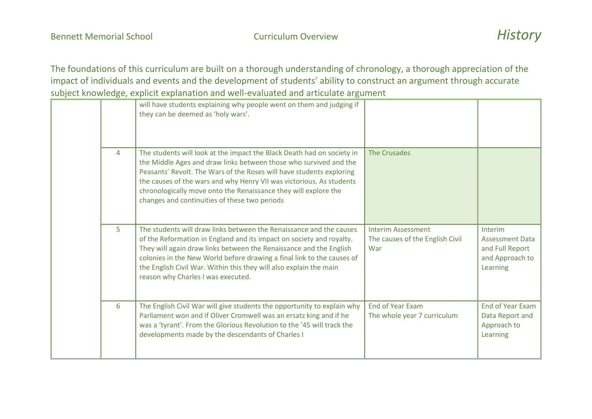|  |   | will have students explaining why people went on them and judging if<br>they can be deemed as 'holy wars'.                                                                                                                                                                                                                                                                                                      |                                                                     |                                                                                     |
|--|---|-----------------------------------------------------------------------------------------------------------------------------------------------------------------------------------------------------------------------------------------------------------------------------------------------------------------------------------------------------------------------------------------------------------------|---------------------------------------------------------------------|-------------------------------------------------------------------------------------|
|  | 4 | The students will look at the impact the Black Death had on society in<br>the Middle Ages and draw links between those who survived and the<br>Peasants' Revolt. The Wars of the Roses will have students exploring<br>the causes of the wars and why Henry VII was victorious. As students<br>chronologically move onto the Renaissance they will explore the<br>changes and continuities of these two periods | <b>The Crusades</b>                                                 |                                                                                     |
|  | 5 | The students will draw links between the Renaissance and the causes<br>of the Reformation in England and its impact on society and royalty.<br>They will again draw links between the Renaissance and the English<br>colonies in the New World before drawing a final link to the causes of<br>the English Civil War. Within this they will also explain the main<br>reason why Charles I was executed.         | <b>Interim Assessment</b><br>The causes of the English Civil<br>War | Interim<br><b>Assessment Data</b><br>and Full Report<br>and Approach to<br>Learning |
|  | 6 | The English Civil War will give students the opportunity to explain why<br>Parliament won and if Oliver Cromwell was an ersatz king and if he<br>was a 'tyrant'. From the Glorious Revolution to the '45 will track the<br>developments made by the descendants of Charles I                                                                                                                                    | <b>End of Year Exam</b><br>The whole year 7 curriculum              | <b>End of Year Exam</b><br>Data Report and<br>Approach to<br>Learning               |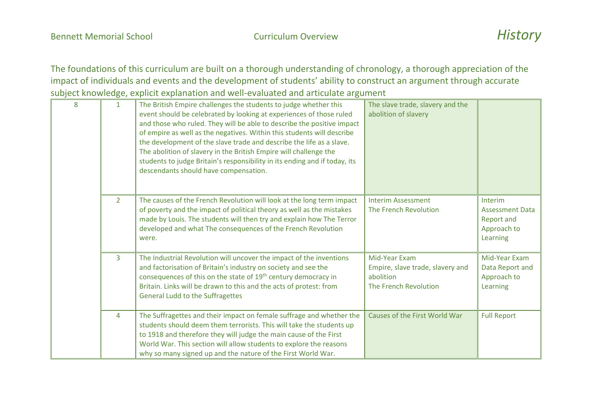| 8 | $\mathbf{1}$   | The British Empire challenges the students to judge whether this<br>event should be celebrated by looking at experiences of those ruled<br>and those who ruled. They will be able to describe the positive impact<br>of empire as well as the negatives. Within this students will describe<br>the development of the slave trade and describe the life as a slave.<br>The abolition of slavery in the British Empire will challenge the<br>students to judge Britain's responsibility in its ending and if today, its<br>descendants should have compensation. | The slave trade, slavery and the<br>abolition of slavery                                |                                                                                   |
|---|----------------|-----------------------------------------------------------------------------------------------------------------------------------------------------------------------------------------------------------------------------------------------------------------------------------------------------------------------------------------------------------------------------------------------------------------------------------------------------------------------------------------------------------------------------------------------------------------|-----------------------------------------------------------------------------------------|-----------------------------------------------------------------------------------|
|   | $\overline{2}$ | The causes of the French Revolution will look at the long term impact<br>of poverty and the impact of political theory as well as the mistakes<br>made by Louis. The students will then try and explain how The Terror<br>developed and what The consequences of the French Revolution<br>were.                                                                                                                                                                                                                                                                 | <b>Interim Assessment</b><br>The French Revolution                                      | Interim<br><b>Assessment Data</b><br><b>Report and</b><br>Approach to<br>Learning |
|   | $\overline{3}$ | The Industrial Revolution will uncover the impact of the inventions<br>and factorisation of Britain's industry on society and see the<br>consequences of this on the state of 19 <sup>th</sup> century democracy in<br>Britain. Links will be drawn to this and the acts of protest: from<br><b>General Ludd to the Suffragettes</b>                                                                                                                                                                                                                            | Mid-Year Exam<br>Empire, slave trade, slavery and<br>abolition<br>The French Revolution | Mid-Year Exam<br>Data Report and<br>Approach to<br>Learning                       |
|   | 4              | The Suffragettes and their impact on female suffrage and whether the<br>students should deem them terrorists. This will take the students up<br>to 1918 and therefore they will judge the main cause of the First<br>World War. This section will allow students to explore the reasons<br>why so many signed up and the nature of the First World War.                                                                                                                                                                                                         | Causes of the First World War                                                           | <b>Full Report</b>                                                                |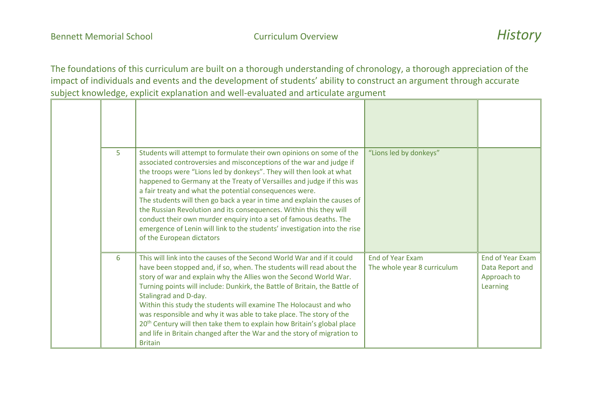| 5 | Students will attempt to formulate their own opinions on some of the<br>associated controversies and misconceptions of the war and judge if<br>the troops were "Lions led by donkeys". They will then look at what<br>happened to Germany at the Treaty of Versailles and judge if this was<br>a fair treaty and what the potential consequences were.<br>The students will then go back a year in time and explain the causes of<br>the Russian Revolution and its consequences. Within this they will<br>conduct their own murder enquiry into a set of famous deaths. The<br>emergence of Lenin will link to the students' investigation into the rise<br>of the European dictators | "Lions led by donkeys"                                 |                                                                       |
|---|----------------------------------------------------------------------------------------------------------------------------------------------------------------------------------------------------------------------------------------------------------------------------------------------------------------------------------------------------------------------------------------------------------------------------------------------------------------------------------------------------------------------------------------------------------------------------------------------------------------------------------------------------------------------------------------|--------------------------------------------------------|-----------------------------------------------------------------------|
| 6 | This will link into the causes of the Second World War and if it could<br>have been stopped and, if so, when. The students will read about the<br>story of war and explain why the Allies won the Second World War.<br>Turning points will include: Dunkirk, the Battle of Britain, the Battle of<br>Stalingrad and D-day.<br>Within this study the students will examine The Holocaust and who<br>was responsible and why it was able to take place. The story of the<br>20 <sup>th</sup> Century will then take them to explain how Britain's global place<br>and life in Britain changed after the War and the story of migration to<br><b>Britain</b>                              | <b>End of Year Exam</b><br>The whole year 8 curriculum | <b>End of Year Exam</b><br>Data Report and<br>Approach to<br>Learning |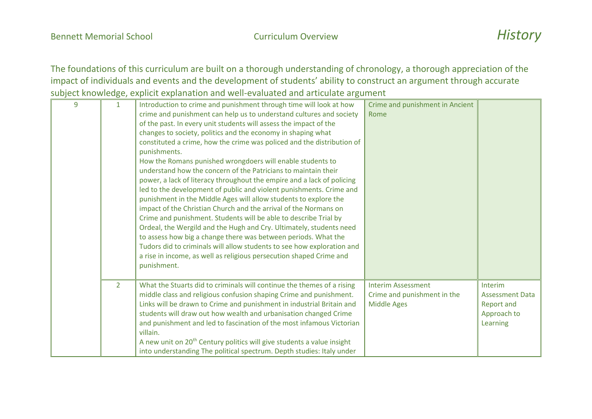| 9 | $\mathbf{1}$   | Introduction to crime and punishment through time will look at how                 | Crime and punishment in Ancient |                        |
|---|----------------|------------------------------------------------------------------------------------|---------------------------------|------------------------|
|   |                | crime and punishment can help us to understand cultures and society                | Rome                            |                        |
|   |                | of the past. In every unit students will assess the impact of the                  |                                 |                        |
|   |                | changes to society, politics and the economy in shaping what                       |                                 |                        |
|   |                | constituted a crime, how the crime was policed and the distribution of             |                                 |                        |
|   |                | punishments.                                                                       |                                 |                        |
|   |                | How the Romans punished wrongdoers will enable students to                         |                                 |                        |
|   |                | understand how the concern of the Patricians to maintain their                     |                                 |                        |
|   |                | power, a lack of literacy throughout the empire and a lack of policing             |                                 |                        |
|   |                | led to the development of public and violent punishments. Crime and                |                                 |                        |
|   |                | punishment in the Middle Ages will allow students to explore the                   |                                 |                        |
|   |                | impact of the Christian Church and the arrival of the Normans on                   |                                 |                        |
|   |                | Crime and punishment. Students will be able to describe Trial by                   |                                 |                        |
|   |                | Ordeal, the Wergild and the Hugh and Cry. Ultimately, students need                |                                 |                        |
|   |                | to assess how big a change there was between periods. What the                     |                                 |                        |
|   |                | Tudors did to criminals will allow students to see how exploration and             |                                 |                        |
|   |                | a rise in income, as well as religious persecution shaped Crime and                |                                 |                        |
|   |                | punishment.                                                                        |                                 |                        |
|   |                |                                                                                    |                                 |                        |
|   | $\overline{2}$ | What the Stuarts did to criminals will continue the themes of a rising             | <b>Interim Assessment</b>       | Interim                |
|   |                | middle class and religious confusion shaping Crime and punishment.                 | Crime and punishment in the     | <b>Assessment Data</b> |
|   |                | Links will be drawn to Crime and punishment in industrial Britain and              | <b>Middle Ages</b>              | Report and             |
|   |                | students will draw out how wealth and urbanisation changed Crime                   |                                 | Approach to            |
|   |                | and punishment and led to fascination of the most infamous Victorian               |                                 | Learning               |
|   |                | villain.                                                                           |                                 |                        |
|   |                | A new unit on 20 <sup>th</sup> Century politics will give students a value insight |                                 |                        |
|   |                | into understanding The political spectrum. Depth studies: Italy under              |                                 |                        |
|   |                |                                                                                    |                                 |                        |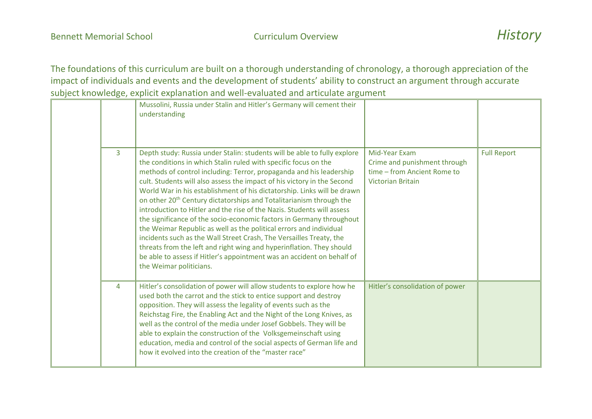|  |   | Mussolini, Russia under Stalin and Hitler's Germany will cement their<br>understanding                                                                                                                                                                                                                                                                                                                                                                                                                                                                                                                                                                                                                                                                                                                                                                                                                                                  |                                                                                                          |                    |
|--|---|-----------------------------------------------------------------------------------------------------------------------------------------------------------------------------------------------------------------------------------------------------------------------------------------------------------------------------------------------------------------------------------------------------------------------------------------------------------------------------------------------------------------------------------------------------------------------------------------------------------------------------------------------------------------------------------------------------------------------------------------------------------------------------------------------------------------------------------------------------------------------------------------------------------------------------------------|----------------------------------------------------------------------------------------------------------|--------------------|
|  | 3 | Depth study: Russia under Stalin: students will be able to fully explore<br>the conditions in which Stalin ruled with specific focus on the<br>methods of control including: Terror, propaganda and his leadership<br>cult. Students will also assess the impact of his victory in the Second<br>World War in his establishment of his dictatorship. Links will be drawn<br>on other 20 <sup>th</sup> Century dictatorships and Totalitarianism through the<br>introduction to Hitler and the rise of the Nazis. Students will assess<br>the significance of the socio-economic factors in Germany throughout<br>the Weimar Republic as well as the political errors and individual<br>incidents such as the Wall Street Crash, The Versailles Treaty, the<br>threats from the left and right wing and hyperinflation. They should<br>be able to assess if Hitler's appointment was an accident on behalf of<br>the Weimar politicians. | Mid-Year Exam<br>Crime and punishment through<br>time - from Ancient Rome to<br><b>Victorian Britain</b> | <b>Full Report</b> |
|  | 4 | Hitler's consolidation of power will allow students to explore how he<br>used both the carrot and the stick to entice support and destroy<br>opposition. They will assess the legality of events such as the<br>Reichstag Fire, the Enabling Act and the Night of the Long Knives, as<br>well as the control of the media under Josef Gobbels. They will be<br>able to explain the construction of the Volksgemeinschaft using<br>education, media and control of the social aspects of German life and<br>how it evolved into the creation of the "master race"                                                                                                                                                                                                                                                                                                                                                                        | Hitler's consolidation of power                                                                          |                    |